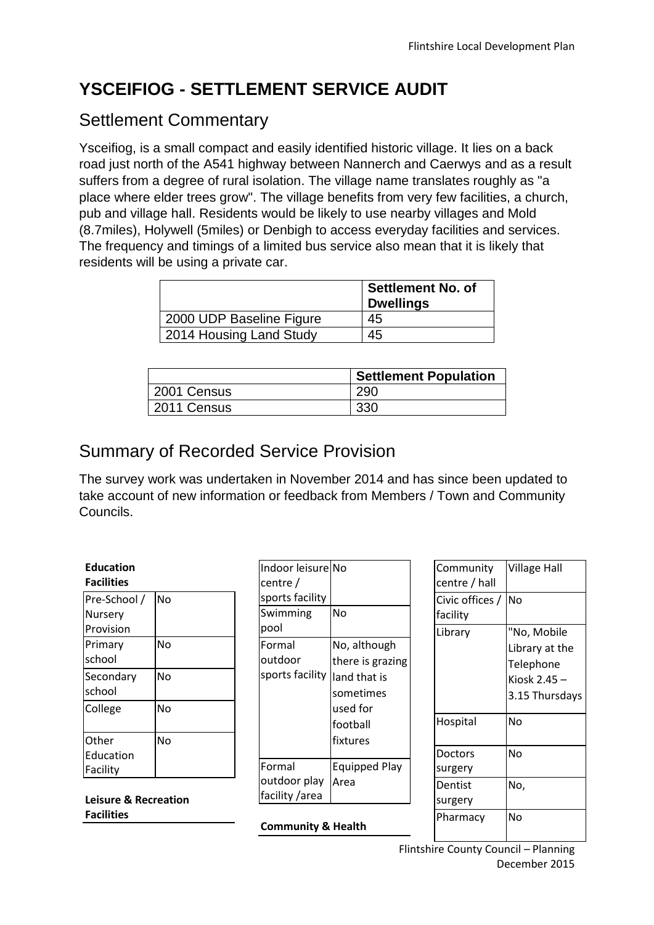# **YSCEIFIOG - SETTLEMENT SERVICE AUDIT**

## Settlement Commentary

Ysceifiog, is a small compact and easily identified historic village. It lies on a back road just north of the A541 highway between Nannerch and Caerwys and as a result suffers from a degree of rural isolation. The village name translates roughly as "a place where elder trees grow". The village benefits from very few facilities, a church, pub and village hall. Residents would be likely to use nearby villages and Mold (8.7miles), Holywell (5miles) or Denbigh to access everyday facilities and services. The frequency and timings of a limited bus service also mean that it is likely that residents will be using a private car.

|                          | <b>Settlement No. of</b><br><b>Dwellings</b> |
|--------------------------|----------------------------------------------|
| 2000 UDP Baseline Figure | 45                                           |
| 2014 Housing Land Study  | 45                                           |

|             | <b>Settlement Population</b> |
|-------------|------------------------------|
| 2001 Census | 290                          |
| 2011 Census | 330                          |

## Summary of Recorded Service Provision

The survey work was undertaken in November 2014 and has since been updated to take account of new information or feedback from Members / Town and Community Councils.

| <b>Education</b>  |    |
|-------------------|----|
| <b>Facilities</b> |    |
| Pre-School /      | No |
| Nursery           |    |
| Provision         |    |
| Primary           | No |
| school            |    |
| Secondary         | No |
| school            |    |
| College           | No |
|                   |    |
| Other             | No |
| Education         |    |
| Facility          |    |

**Leisure & Recreation Facilities**

| Indoor leisurelNo<br>centre / |                      |
|-------------------------------|----------------------|
| sports facility               |                      |
| Swimming<br>pool              | No                   |
| Formal                        | No, although         |
| outdoor                       | there is grazing     |
| sports facility               | land that is         |
|                               | sometimes            |
|                               | used for             |
|                               | football             |
|                               | fixtures             |
| Formal                        | <b>Equipped Play</b> |
| outdoor play                  | Area                 |
| facility /area                |                      |

**Community & Health**

| Community       | <b>Village Hall</b> |
|-----------------|---------------------|
| centre / hall   |                     |
| Civic offices / | No                  |
| facility        |                     |
| Library         | "No, Mobile         |
|                 | Library at the      |
|                 | Telephone           |
|                 | Kiosk $2.45 -$      |
|                 | 3.15 Thursdays      |
| Hospital        | No                  |
| Doctors         | No                  |
| surgery         |                     |
| Dentist         | No,                 |
| surgery         |                     |
| Pharmacy        | No                  |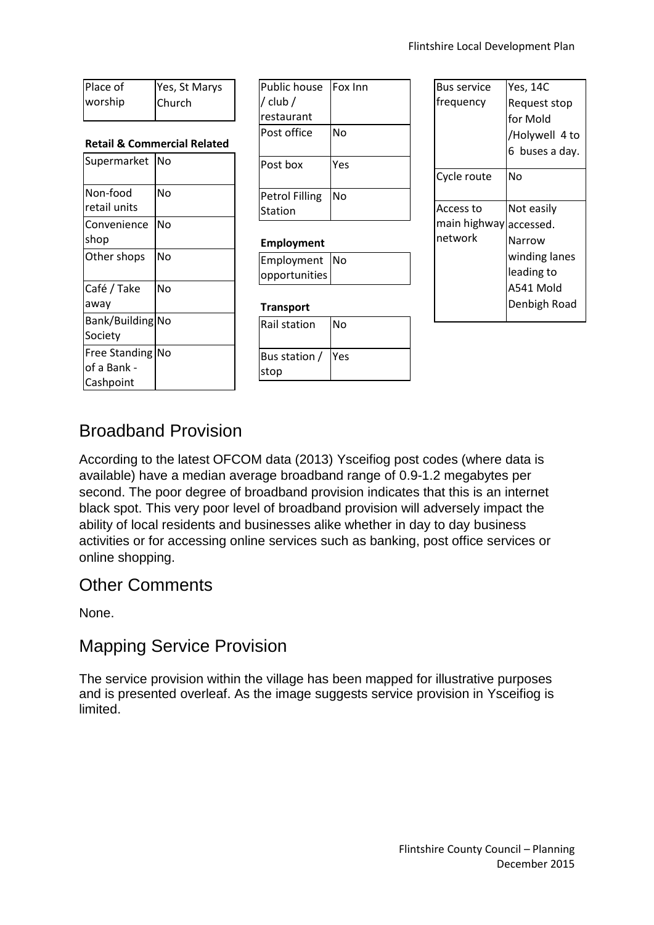| Place of | Yes, St Marys |
|----------|---------------|
| worship  | Church        |

#### **Retail & Commercial Related**

| Supermarket                                      | No |
|--------------------------------------------------|----|
| Non-food<br>retail units                         | No |
| Convenience<br>shop                              | No |
| Other shops                                      | No |
| Café / Take<br>away                              | No |
| Bank/Building No<br>Society                      |    |
| <b>Free Standing</b><br>of a Bank -<br>Cashpoint | No |

| <b>Public house</b>   | <b>Fox Inn</b> |
|-----------------------|----------------|
| / club /              |                |
| restaurant            |                |
| Post office           | No             |
|                       |                |
| Post box              | Yes            |
|                       |                |
| <b>Petrol Filling</b> | No             |
| Station               |                |
|                       |                |

#### **Employment**

| Employment No |  |
|---------------|--|
| opportunities |  |

#### **Transport**

| <b>Rail station</b> | No |
|---------------------|----|
| Bus station / Yes   |    |
| stop                |    |

| Bus service            | Yes, 14C       |
|------------------------|----------------|
| frequency              | Request stop   |
|                        | for Mold       |
|                        | /Holywell 4 to |
|                        | 6 buses a day. |
| Cycle route            | No             |
| Access to              | Not easily     |
| main highway accessed. |                |
| network                | Narrow         |
|                        | winding lanes  |
|                        | leading to     |
|                        | A541 Mold      |
|                        | Denbigh Road   |
|                        |                |

### Broadband Provision

According to the latest OFCOM data (2013) Ysceifiog post codes (where data is available) have a median average broadband range of 0.9-1.2 megabytes per second. The poor degree of broadband provision indicates that this is an internet black spot. This very poor level of broadband provision will adversely impact the ability of local residents and businesses alike whether in day to day business activities or for accessing online services such as banking, post office services or online shopping.

### Other Comments

None.

### Mapping Service Provision

The service provision within the village has been mapped for illustrative purposes and is presented overleaf. As the image suggests service provision in Ysceifiog is limited.